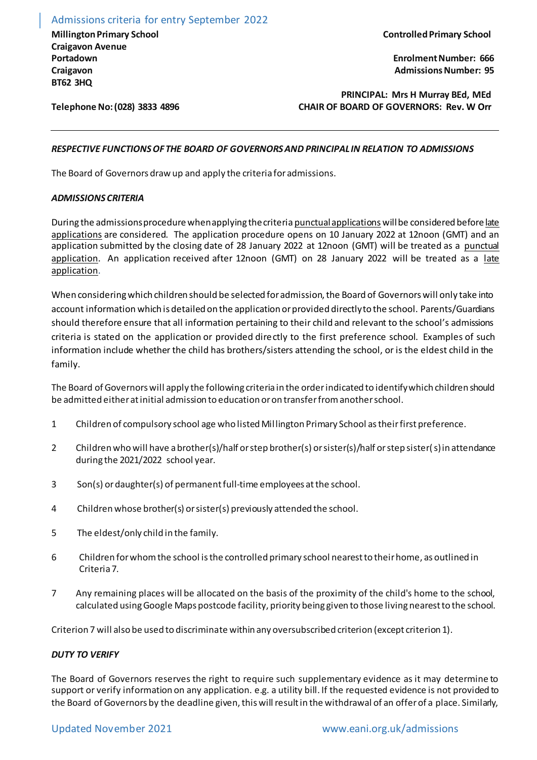Admissions criteria for entry September 2022 **Millington Primary School Craigavon Avenue Portadown Craigavon BT62 3HQ**

**Telephone No: (028) 3833 4896**

**Controlled Primary School** 

 **Enrolment Number: 666 Admissions Number: 95**

**PRINCIPAL: Mrs H Murray BEd, MEd CHAIR OF BOARD OF GOVERNORS: Rev. W Orr**

## *RESPECTIVE FUNCTIONS OF THE BOARD OF GOVERNORS AND PRINCIPAL IN RELATION TO ADMISSIONS*

The Board of Governors draw up and apply the criteria for admissions.

#### *ADMISSIONS CRITERIA*

During the admissions procedurewhen applying the criteria punctual applications will be considered before late applications are considered. The application procedure opens on 10 January 2022 at 12noon (GMT) and an application submitted by the closing date of 28 January 2022 at 12noon (GMT) will be treated as a punctual application. An application received after 12noon (GMT) on 28 January 2022 will be treated as a late application.

When considering which children should be selected for admission, the Board of Governors will only take into account information which is detailed on the application or provided directly to the school. Parents/Guardians should therefore ensure that all information pertaining to their child and relevant to the school's admissions criteria is stated on the application or provided directly to the first preference school. Examples of such information include whether the child has brothers/sisters attending the school, or is the eldest child in the family.

The Board of Governors will apply the following criteria in the order indicated to identify which children should be admitted either at initial admission to education or on transfer from another school.

- 1 Children of compulsory school age who listed Millington Primary School as their first preference.
- 2 Children who will have a brother(s)/half or step brother(s) or sister(s)/half or step sister(s) in attendance during the 2021/2022 school year.
- 3 Son(s) or daughter(s) of permanent full-time employees at the school.
- 4 Children whose brother(s) or sister(s) previously attended the school.
- 5 The eldest/only child in the family.
- 6 Children for whom the school is the controlled primary school nearest to their home, as outlined in Criteria 7.
- 7 Any remaining places will be allocated on the basis of the proximity of the child's home to the school, calculated using Google Maps postcode facility, priority being given to those living nearest to the school.

Criterion 7 will also be used to discriminate within any oversubscribed criterion (except criterion 1).

### *DUTY TO VERIFY*

The Board of Governors reserves the right to require such supplementary evidence as it may determine to support or verify information on any application. e.g. a utility bill. If the requested evidence is not provided to the Board of Governors by the deadline given, this will result in the withdrawal of an offer of a place. Similarly,